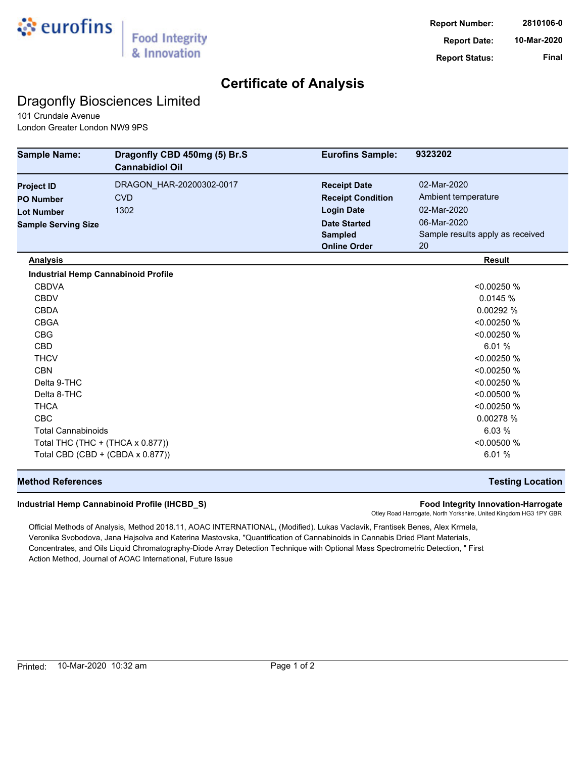

## **Certificate of Analysis**

## Dragonfly Biosciences Limited

101 Crundale Avenue London Greater London NW9 9PS

| <b>Sample Name:</b>                        | Dragonfly CBD 450mg (5) Br.S<br><b>Cannabidiol Oil</b> | <b>Eurofins Sample:</b>  | 9323202                          |
|--------------------------------------------|--------------------------------------------------------|--------------------------|----------------------------------|
| <b>Project ID</b>                          | DRAGON_HAR-20200302-0017                               | <b>Receipt Date</b>      | 02-Mar-2020                      |
| <b>PO Number</b>                           | <b>CVD</b>                                             | <b>Receipt Condition</b> | Ambient temperature              |
| <b>Lot Number</b>                          | 1302                                                   | <b>Login Date</b>        | 02-Mar-2020                      |
| <b>Sample Serving Size</b>                 |                                                        | <b>Date Started</b>      | 06-Mar-2020                      |
|                                            |                                                        | <b>Sampled</b>           | Sample results apply as received |
|                                            |                                                        | <b>Online Order</b>      | 20                               |
| <b>Analysis</b>                            |                                                        |                          | <b>Result</b>                    |
| <b>Industrial Hemp Cannabinoid Profile</b> |                                                        |                          |                                  |
| <b>CBDVA</b>                               |                                                        |                          | < 0.00250 %                      |
| <b>CBDV</b>                                |                                                        |                          | 0.0145%                          |
| <b>CBDA</b>                                |                                                        |                          | 0.00292 %                        |
| <b>CBGA</b>                                |                                                        |                          | < 0.00250 %                      |
| <b>CBG</b>                                 |                                                        |                          | < 0.00250 %                      |
| <b>CBD</b>                                 |                                                        |                          | 6.01 %                           |
| <b>THCV</b>                                |                                                        |                          | < 0.00250 %                      |
| <b>CBN</b>                                 |                                                        |                          | < 0.00250 %                      |
| Delta 9-THC                                |                                                        |                          | < 0.00250 %                      |
| Delta 8-THC                                |                                                        |                          | < 0.00500 %                      |
| <b>THCA</b>                                |                                                        |                          | < 0.00250 %                      |
| <b>CBC</b>                                 |                                                        |                          | 0.00278 %                        |
| <b>Total Cannabinoids</b>                  |                                                        |                          | 6.03 %                           |
| Total THC (THC + (THCA x 0.877))           |                                                        |                          | < 0.00500 %                      |
| Total CBD (CBD + (CBDA x 0.877))           |                                                        |                          | 6.01 %                           |

### **Method References Testing Location**

#### **Industrial Hemp Cannabinoid Profile (IHCBD\_S) Food Integrity Innovation-Harrogate**

Otley Road Harrogate, North Yorkshire, United Kingdom HG3 1PY GBR

Official Methods of Analysis, Method 2018.11, AOAC INTERNATIONAL, (Modified). Lukas Vaclavik, Frantisek Benes, Alex Krmela, Veronika Svobodova, Jana Hajsolva and Katerina Mastovska, "Quantification of Cannabinoids in Cannabis Dried Plant Materials, Concentrates, and Oils Liquid Chromatography-Diode Array Detection Technique with Optional Mass Spectrometric Detection, " First Action Method, Journal of AOAC International, Future Issue